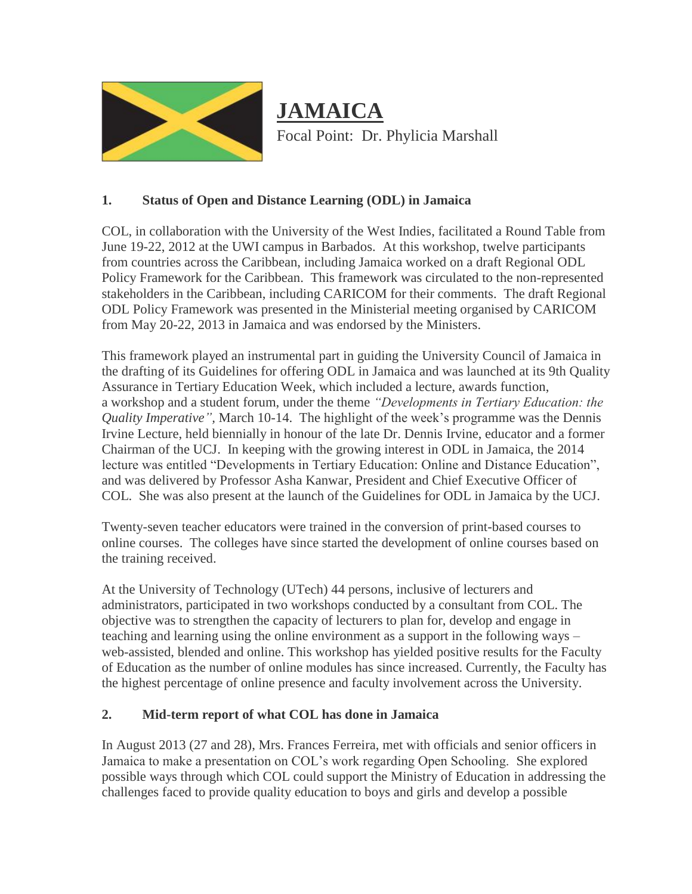

# **JAMAICA** Focal Point: Dr. Phylicia Marshall

## **1. Status of Open and Distance Learning (ODL) in Jamaica**

COL, in collaboration with the University of the West Indies, facilitated a Round Table from June 19-22, 2012 at the UWI campus in Barbados. At this workshop, twelve participants from countries across the Caribbean, including Jamaica worked on a draft Regional ODL Policy Framework for the Caribbean. This framework was circulated to the non-represented stakeholders in the Caribbean, including CARICOM for their comments. The draft Regional ODL Policy Framework was presented in the Ministerial meeting organised by CARICOM from May 20-22, 2013 in Jamaica and was endorsed by the Ministers.

This framework played an instrumental part in guiding the University Council of Jamaica in the drafting of its Guidelines for offering ODL in Jamaica and was launched at its 9th Quality Assurance in Tertiary Education Week, which included a lecture, awards function, a workshop and a student forum, under the theme *"Developments in Tertiary Education: the Quality Imperative",* March 10-14. The highlight of the week's programme was the Dennis Irvine Lecture, held biennially in honour of the late Dr. Dennis Irvine, educator and a former Chairman of the UCJ. In keeping with the growing interest in ODL in Jamaica, the 2014 lecture was entitled "Developments in Tertiary Education: Online and Distance Education", and was delivered by Professor Asha Kanwar, President and Chief Executive Officer of COL. She was also present at the launch of the Guidelines for ODL in Jamaica by the UCJ.

Twenty-seven teacher educators were trained in the conversion of print-based courses to online courses. The colleges have since started the development of online courses based on the training received.

At the University of Technology (UTech) 44 persons, inclusive of lecturers and administrators, participated in two workshops conducted by a consultant from COL. The objective was to strengthen the capacity of lecturers to plan for, develop and engage in teaching and learning using the online environment as a support in the following ways – web-assisted, blended and online. This workshop has yielded positive results for the Faculty of Education as the number of online modules has since increased. Currently, the Faculty has the highest percentage of online presence and faculty involvement across the University.

## **2. Mid-term report of what COL has done in Jamaica**

In August 2013 (27 and 28), Mrs. Frances Ferreira, met with officials and senior officers in Jamaica to make a presentation on COL's work regarding Open Schooling. She explored possible ways through which COL could support the Ministry of Education in addressing the challenges faced to provide quality education to boys and girls and develop a possible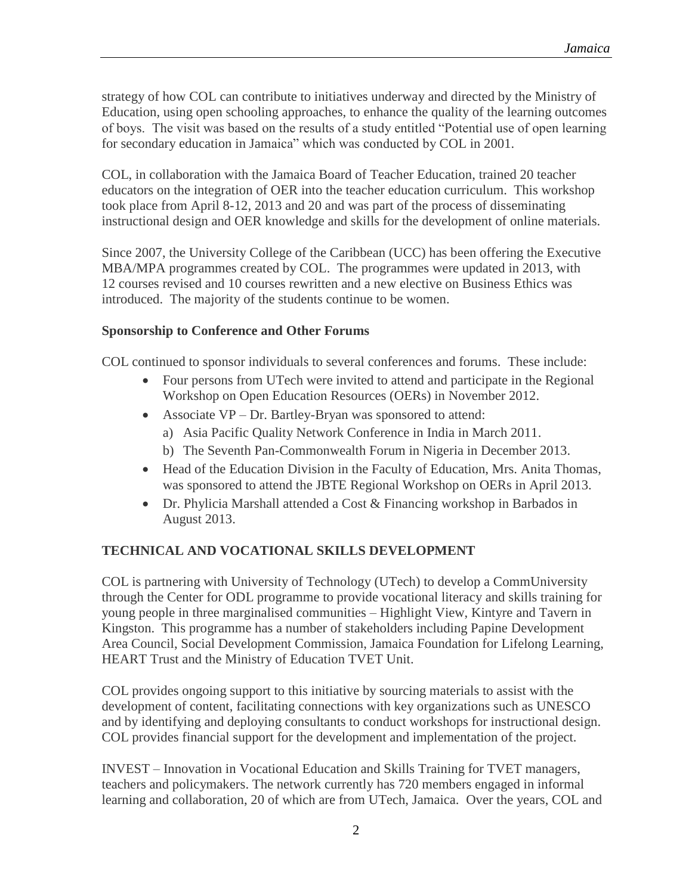strategy of how COL can contribute to initiatives underway and directed by the Ministry of Education, using open schooling approaches, to enhance the quality of the learning outcomes of boys. The visit was based on the results of a study entitled "Potential use of open learning for secondary education in Jamaica" which was conducted by COL in 2001.

COL, in collaboration with the Jamaica Board of Teacher Education, trained 20 teacher educators on the integration of OER into the teacher education curriculum. This workshop took place from April 8-12, 2013 and 20 and was part of the process of disseminating instructional design and OER knowledge and skills for the development of online materials.

Since 2007, the University College of the Caribbean (UCC) has been offering the Executive MBA/MPA programmes created by COL. The programmes were updated in 2013, with 12 courses revised and 10 courses rewritten and a new elective on Business Ethics was introduced. The majority of the students continue to be women.

## **Sponsorship to Conference and Other Forums**

COL continued to sponsor individuals to several conferences and forums. These include:

- Four persons from UTech were invited to attend and participate in the Regional Workshop on Open Education Resources (OERs) in November 2012.
- Associate VP Dr. Bartley-Bryan was sponsored to attend:
	- a) Asia Pacific Quality Network Conference in India in March 2011.
	- b) The Seventh Pan-Commonwealth Forum in Nigeria in December 2013.
- Head of the Education Division in the Faculty of Education, Mrs. Anita Thomas, was sponsored to attend the JBTE Regional Workshop on OERs in April 2013.
- Dr. Phylicia Marshall attended a Cost & Financing workshop in Barbados in August 2013.

## **TECHNICAL AND VOCATIONAL SKILLS DEVELOPMENT**

COL is partnering with University of Technology (UTech) to develop a CommUniversity through the Center for ODL programme to provide vocational literacy and skills training for young people in three marginalised communities – Highlight View, Kintyre and Tavern in Kingston. This programme has a number of stakeholders including Papine Development Area Council, Social Development Commission, Jamaica Foundation for Lifelong Learning, HEART Trust and the Ministry of Education TVET Unit.

COL provides ongoing support to this initiative by sourcing materials to assist with the development of content, facilitating connections with key organizations such as UNESCO and by identifying and deploying consultants to conduct workshops for instructional design. COL provides financial support for the development and implementation of the project.

INVEST – Innovation in Vocational Education and Skills Training for TVET managers, teachers and policymakers. The network currently has 720 members engaged in informal learning and collaboration, 20 of which are from UTech, Jamaica. Over the years, COL and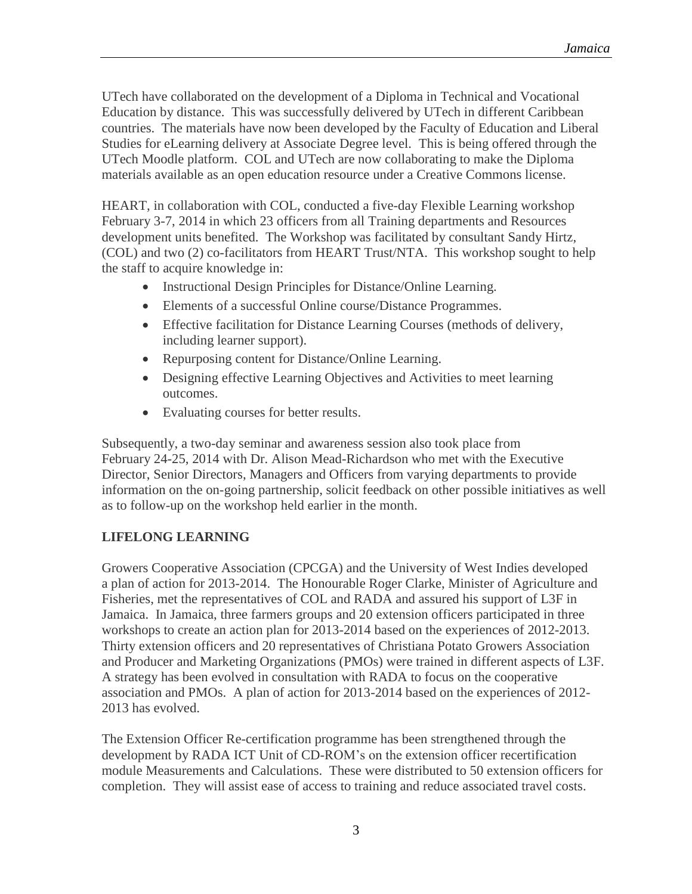UTech have collaborated on the development of a Diploma in Technical and Vocational Education by distance. This was successfully delivered by UTech in different Caribbean countries. The materials have now been developed by the Faculty of Education and Liberal Studies for eLearning delivery at Associate Degree level. This is being offered through the UTech Moodle platform. COL and UTech are now collaborating to make the Diploma materials available as an open education resource under a Creative Commons license.

HEART, in collaboration with COL, conducted a five-day Flexible Learning workshop February 3-7, 2014 in which 23 officers from all Training departments and Resources development units benefited. The Workshop was facilitated by consultant Sandy Hirtz, (COL) and two (2) co-facilitators from HEART Trust/NTA. This workshop sought to help the staff to acquire knowledge in:

- Instructional Design Principles for Distance/Online Learning.
- Elements of a successful Online course/Distance Programmes.
- Effective facilitation for Distance Learning Courses (methods of delivery, including learner support).
- Repurposing content for Distance/Online Learning.
- Designing effective Learning Objectives and Activities to meet learning outcomes.
- Evaluating courses for better results.

Subsequently, a two-day seminar and awareness session also took place from February 24-25, 2014 with Dr. Alison Mead-Richardson who met with the Executive Director, Senior Directors, Managers and Officers from varying departments to provide information on the on-going partnership, solicit feedback on other possible initiatives as well as to follow-up on the workshop held earlier in the month.

## **LIFELONG LEARNING**

Growers Cooperative Association (CPCGA) and the University of West Indies developed a plan of action for 2013-2014. The Honourable Roger Clarke, Minister of Agriculture and Fisheries, met the representatives of COL and RADA and assured his support of L3F in Jamaica. In Jamaica, three farmers groups and 20 extension officers participated in three workshops to create an action plan for 2013-2014 based on the experiences of 2012-2013. Thirty extension officers and 20 representatives of Christiana Potato Growers Association and Producer and Marketing Organizations (PMOs) were trained in different aspects of L3F. A strategy has been evolved in consultation with RADA to focus on the cooperative association and PMOs. A plan of action for 2013-2014 based on the experiences of 2012- 2013 has evolved.

The Extension Officer Re-certification programme has been strengthened through the development by RADA ICT Unit of CD-ROM's on the extension officer recertification module Measurements and Calculations. These were distributed to 50 extension officers for completion. They will assist ease of access to training and reduce associated travel costs.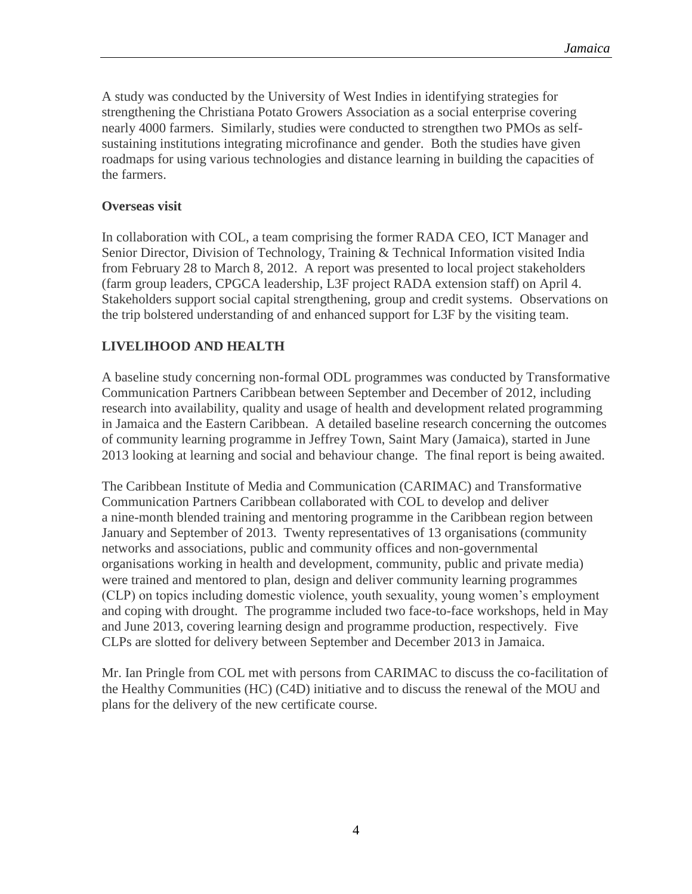A study was conducted by the University of West Indies in identifying strategies for strengthening the Christiana Potato Growers Association as a social enterprise covering nearly 4000 farmers. Similarly, studies were conducted to strengthen two PMOs as selfsustaining institutions integrating microfinance and gender. Both the studies have given roadmaps for using various technologies and distance learning in building the capacities of the farmers.

#### **Overseas visit**

In collaboration with COL, a team comprising the former RADA CEO, ICT Manager and Senior Director, Division of Technology, Training & Technical Information visited India from February 28 to March 8, 2012. A report was presented to local project stakeholders (farm group leaders, CPGCA leadership, L3F project RADA extension staff) on April 4. Stakeholders support social capital strengthening, group and credit systems. Observations on the trip bolstered understanding of and enhanced support for L3F by the visiting team.

## **LIVELIHOOD AND HEALTH**

A baseline study concerning non-formal ODL programmes was conducted by Transformative Communication Partners Caribbean between September and December of 2012, including research into availability, quality and usage of health and development related programming in Jamaica and the Eastern Caribbean. A detailed baseline research concerning the outcomes of community learning programme in Jeffrey Town, Saint Mary (Jamaica), started in June 2013 looking at learning and social and behaviour change. The final report is being awaited.

The Caribbean Institute of Media and Communication (CARIMAC) and Transformative Communication Partners Caribbean collaborated with COL to develop and deliver a nine-month blended training and mentoring programme in the Caribbean region between January and September of 2013. Twenty representatives of 13 organisations (community networks and associations, public and community offices and non-governmental organisations working in health and development, community, public and private media) were trained and mentored to plan, design and deliver community learning programmes (CLP) on topics including domestic violence, youth sexuality, young women's employment and coping with drought. The programme included two face-to-face workshops, held in May and June 2013, covering learning design and programme production, respectively. Five CLPs are slotted for delivery between September and December 2013 in Jamaica.

Mr. Ian Pringle from COL met with persons from CARIMAC to discuss the co-facilitation of the Healthy Communities (HC) (C4D) initiative and to discuss the renewal of the MOU and plans for the delivery of the new certificate course.